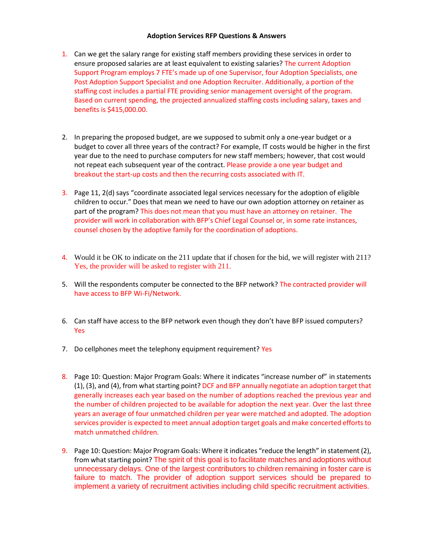## **Adoption Services RFP Questions & Answers**

- 1. Can we get the salary range for existing staff members providing these services in order to ensure proposed salaries are at least equivalent to existing salaries? The current Adoption Support Program employs 7 FTE's made up of one Supervisor, four Adoption Specialists, one Post Adoption Support Specialist and one Adoption Recruiter. Additionally, a portion of the staffing cost includes a partial FTE providing senior management oversight of the program. Based on current spending, the projected annualized staffing costs including salary, taxes and benefits is \$415,000.00.
- 2. In preparing the proposed budget, are we supposed to submit only a one-year budget or a budget to cover all three years of the contract? For example, IT costs would be higher in the first year due to the need to purchase computers for new staff members; however, that cost would not repeat each subsequent year of the contract. Please provide a one year budget and breakout the start-up costs and then the recurring costs associated with IT.
- 3. Page 11, 2(d) says "coordinate associated legal services necessary for the adoption of eligible children to occur." Does that mean we need to have our own adoption attorney on retainer as part of the program? This does not mean that you must have an attorney on retainer. The provider will work in collaboration with BFP's Chief Legal Counsel or, in some rate instances, counsel chosen by the adoptive family for the coordination of adoptions.
- 4. Would it be OK to indicate on the 211 update that if chosen for the bid, we will register with 211? Yes, the provider will be asked to register with 211.
- 5. Will the respondents computer be connected to the BFP network? The contracted provider will have access to BFP Wi-Fi/Network.
- 6. Can staff have access to the BFP network even though they don't have BFP issued computers? Yes
- 7. Do cellphones meet the telephony equipment requirement? Yes
- 8. Page 10: Question: Major Program Goals: Where it indicates "increase number of" in statements (1), (3), and (4), from what starting point? DCF and BFP annually negotiate an adoption target that generally increases each year based on the number of adoptions reached the previous year and the number of children projected to be available for adoption the next year. Over the last three years an average of four unmatched children per year were matched and adopted. The adoption services provider is expected to meet annual adoption target goals and make concerted efforts to match unmatched children.
- 9. Page 10: Question: Major Program Goals: Where it indicates "reduce the length" in statement (2), from what starting point? The spirit of this goal is to facilitate matches and adoptions without unnecessary delays. One of the largest contributors to children remaining in foster care is failure to match. The provider of adoption support services should be prepared to implement a variety of recruitment activities including child specific recruitment activities.